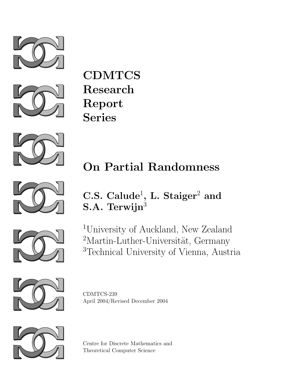



**CDMTCS** Research Report Series



# On Partial Randomness



## C.S. Calude<sup>1</sup>, L. Staiger<sup>2</sup> and S.A. Terwijn<sup>3</sup>



<sup>1</sup>University of Auckland, New Zealand  $^{2}$  Martin-Luther-Universität, Germany <sup>3</sup>Technical University of Vienna, Austria



CDMTCS-239 April 2004/Revised December 2004



Centre for Discrete Mathematics and Theoretical Computer Science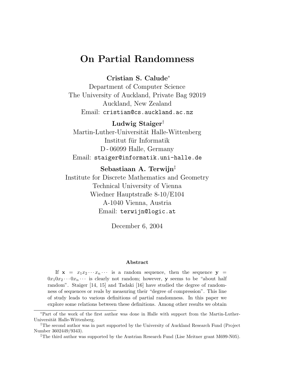### On Partial Randomness

#### Cristian S. Calude<sup>∗</sup>

Department of Computer Science The University of Auckland, Private Bag 92019 Auckland, New Zealand Email: cristian@cs.auckland.ac.nz

#### Ludwig Staiger†

Martin-Luther-Universität Halle-Wittenberg Institut für Informatik D - 06099 Halle, Germany Email: staiger@informatik.uni-halle.de

#### Sebastiaan A. Terwijn‡

Institute for Discrete Mathematics and Geometry Technical University of Vienna Wiedner Hauptstraße 8-10/E104 A-1040 Vienna, Austria Email: terwijn@logic.at

December 6, 2004

#### Abstract

If  $x = x_1x_2...x_n...$  is a random sequence, then the sequence  $y =$  $0x_10x_2 \cdots 0x_n \cdots$  is clearly not random; however, y seems to be "about half random". Staiger [14, 15] and Tadaki [16] have studied the degree of randomness of sequences or reals by measuring their "degree of compression". This line of study leads to various definitions of partial randomness. In this paper we explore some relations between these definitions. Among other results we obtain

<sup>∗</sup>Part of the work of the first author was done in Halle with support from the Martin-Luther-Universität Halle-Wittenberg.

<sup>†</sup>The second author was in part supported by the University of Auckland Research Fund (Project Number 3602449/9343).

<sup>‡</sup>The third author was supported by the Austrian Research Fund (Lise Meitner grant M699-N05).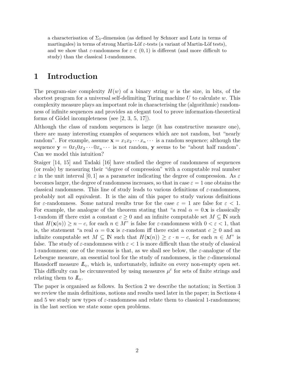a characterisation of  $\Sigma_1$ -dimension (as defined by Schnorr and Lutz in terms of martingales) in terms of strong Martin-Löf  $\varepsilon$ -tests (a variant of Martin-Löf tests), and we show that  $\varepsilon$ -randomness for  $\varepsilon \in (0,1)$  is different (and more difficult to study) than the classical 1-randomness.

#### 1 Introduction

The program-size complexity  $H(w)$  of a binary string w is the size, in bits, of the shortest program for a universal self-delimiting Turing machine  $U$  to calculate  $w$ . This complexity measure plays an important role in characterising the (algorithmic) randomness of infinite sequences and provides an elegant tool to prove information-theoretical forms of Gödel incompleteness (see  $[2, 3, 5, 17]$ ).

Although the class of random sequences is large (it has constructive measure one), there are many interesting examples of sequences which are not random, but "nearly random". For example, assume  $\mathbf{x} = x_1 x_2 \cdots x_n \cdots$  is a random sequence; although the sequence  $y = 0x_10x_2 \cdots 0x_n \cdots$  is not random, y seems to be "about half random". Can we model this intuition?

Staiger [14, 15] and Tadaki [16] have studied the degree of randomness of sequences (or reals) by measuring their "degree of compression" with a computable real number  $\varepsilon$  in the unit interval [0, 1] as a parameter indicating the degree of compression. As  $\varepsilon$ becomes larger, the degree of randomness increases, so that in case  $\varepsilon = 1$  one obtains the classical randomness. This line of study leads to various definitions of  $\varepsilon$ -randomness, probably not all equivalent. It is the aim of this paper to study various definitions for  $\varepsilon$ -randomness. Some natural results true for the case  $\varepsilon = 1$  are false for  $\varepsilon < 1$ . For example, the analogue of the theorem stating that "a real  $\alpha = 0$ . x is classically 1-random iff there exist a constant  $c \geq 0$  and an infinite computable set  $M \subseteq \mathbb{N}$  such that  $H(\mathbf{x}(n)) \geq n - c$ , for each  $n \in M$ " is false for  $\varepsilon$ -randomness with  $0 < \varepsilon < 1$ , that is, the statement "a real  $\alpha = 0$ .x is  $\varepsilon$ -random iff there exist a constant  $c \geq 0$  and an infinite computable set  $M \subseteq \mathbb{N}$  such that  $H(\mathbf{x}(n)) \geq \varepsilon \cdot n - c$ , for each  $n \in M$ " is false. The study of  $\varepsilon$ -randomness with  $\varepsilon < 1$  is more difficult than the study of classical 1-randomness; one of the reasons is that, as we shall see below, the  $\varepsilon$ -analogue of the Lebesgue measure, an essential tool for the study of randomness, is the  $\varepsilon$ -dimensional Hausdorff measure  $\mathbb{L}_{\varepsilon}$ , which is, unfortunately, infinite on every non-empty open set. This difficulty can be circumvented by using measures  $\mu^{\varepsilon}$  for sets of finite strings and relating them to  $L_{\varepsilon}$ .

The paper is organised as follows. In Section 2 we describe the notation; in Section 3 we review the main definitions, notions and results used later in the paper; in Sections 4 and 5 we study new types of  $\varepsilon$ -randomness and relate them to classical 1-randomness; in the last section we state some open problems.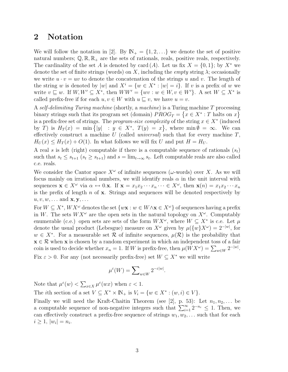#### 2 Notation

We will follow the notation in [2]. By  $\mathbb{N}_+ = \{1, 2, \ldots\}$  we denote the set of positive natural numbers;  $\mathbb{Q}, \mathbb{R}, \mathbb{R}_+$  are the sets of rationals, reals, positive reals, respectively. The cardinality of the set A is denoted by card  $(A)$ . Let us fix  $X = \{0, 1\}$ ; by  $X^*$  we denote the set of finite strings (words) on X, including the *empty* string  $\lambda$ ; occasionally we write  $u \cdot v = uv$  to denote the concatenation of the strings u and v. The length of the string w is denoted by |w| and  $X^i = \{w \in X^* : |w| = i\}$ . If v is a prefix of w we write  $v \sqsubseteq w$ . If  $W, W' \subseteq X^*$ , then  $WW' = \{wv : w \in W, v \in W'\}$ . A set  $W \subseteq X^*$  is called prefix-free if for each  $u, v \in W$  with  $u \subseteq v$ , we have  $u = v$ .

A self-delimiting Turing machine (shortly, a machine) is a Turing machine T processing binary strings such that its program set (domain)  $PROG_T = \{x \in X^* : T \text{ halts on } x\}$ is a prefix-free set of strings. The *program-size complexity* of the string  $x \in X^*$  (induced by T) is  $H_T(x) = \min\{|y| : y \in X^*, T(y) = x\}$ , where  $\min \emptyset = \infty$ . We can effectively construct a machine  $U$  (called *universal*) such that for every machine  $T$ ,  $H_U(x) \leq H_T(x) + O(1)$ . In what follows we will fix U and put  $H = H_U$ .

A real s is left (right) computable if there is a computable sequence of rationals  $(s_t)$ such that  $s_t \leq s_{t+1}$   $(s_t \geq s_{t+1})$  and  $s = \lim_{t \to \infty} s_t$ . Left computable reals are also called c.e. reals.

We consider the Cantor space  $X^{\omega}$  of infinite sequences ( $\omega$ -words) over X. As we will focus mainly on irrational numbers, we will identify reals  $\alpha$  in the unit interval with sequences  $\mathbf{x} \in X^{\omega}$  via  $\alpha \leftrightarrow 0.\mathbf{x}$ . If  $\mathbf{x} = x_1x_2 \cdots x_n \cdots \in X^{\omega}$ , then  $\mathbf{x}(n) = x_1x_2 \cdots x_n$ is the prefix of length  $n$  of  $x$ . Strings and sequences will be denoted respectively by  $u, v, w, \ldots$  and  $\mathbf{x}, \mathbf{y}, \ldots$ 

For  $W \subseteq X^*$ ,  $WX^{\omega}$  denotes the set  $\{w\mathbf{x} : w \in W \wedge \mathbf{x} \in X^{\omega}\}\)$  of sequences having a prefix in W. The sets  $WX^{\omega}$  are the open sets in the natural topology on  $X^{\omega}$ . Computably enumerable (c.e.) open sets are sets of the form  $WX^{\omega}$ , where  $W \subseteq X^*$  is c.e. Let  $\mu$ denote the usual product (Lebesgue) measure on  $X^{\omega}$  given by  $\mu({w} X^{\omega}) = 2^{-|w|}$ , for  $w \in X^*$ . For a measurable set R of infinite sequences,  $\mu(\mathcal{R})$  is the probability that  $x \in \mathcal{R}$  when x is chosen by a random experiment in which an independent toss of a fair coin is used to decide whether  $x_n = 1$ . If W is prefix-free, then  $\mu(WX^{\omega}) = \sum_{w \in W} 2^{-|w|}$ . Fix  $\varepsilon > 0$ . For any (not necessarily prefix-free) set  $W \subseteq X^*$  we will write

$$
\mu^\varepsilon(W)=\sum\nolimits_{w\in W}2^{-\varepsilon|w|}.
$$

Note that  $\mu^{\varepsilon}(w) < \sum_{x \in X} \mu^{\varepsilon}(wx)$  when  $\varepsilon < 1$ .

The *i*th section of a set  $V \subseteq X^* \times \mathbb{N}_+$  is  $V_i = \{w \in X^* : (w, i) \in V\}.$ 

Finally we will need the Kraft-Chaitin Theorem (see [2], p. 53): Let  $n_1, n_2, \ldots$  be a computable sequence of non-negative integers such that  $\sum_{i=1}^{\infty} 2^{-n_i} \leq 1$ . Then, we can effectively construct a prefix-free sequence of strings  $w_1, w_2, \ldots$  such that for each  $i \geq 1, |w_i| = n_i.$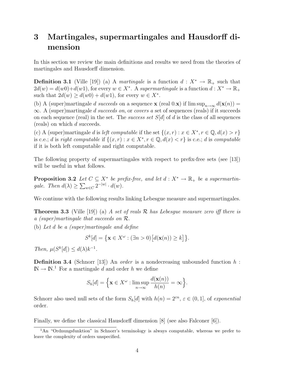## 3 Martingales, supermartingales and Hausdorff dimension

In this section we review the main definitions and results we need from the theories of martingales and Hausdorff dimension.

**Definition 3.1** (Ville [19]) (a) A martingale is a function  $d: X^* \to \mathbb{R}_+$  such that  $2d(w) = d(w0) + d(w1)$ , for every  $w \in X^*$ . A supermartingale is a function  $d: X^* \to \mathbb{R}_+$ such that  $2d(w) \geq d(w0) + d(w1)$ , for every  $w \in X^*$ .

(b) A (super)martingale d succeeds on a sequence **x** (real 0.**x**) if  $\limsup_{n\to\infty} d(\mathbf{x}(n)) =$  $\infty$ . A (super)martingale *d succeeds on*, or *covers a* set of sequences (reals) if it succeeds on each sequence (real) in the set. The *success set*  $S[d]$  of d is the class of all sequences (reals) on which d succeeds.

(c) A (super)martingale d is left computable if the set  $\{(x, r) : x \in X^*, r \in \mathbb{Q}, d(x) > r\}$ is c.e.; d is right computable if  $\{(x,r): x \in X^*, r \in \mathbb{Q}, d(x) < r\}$  is c.e.; d is computable if it is both left computable and right computable.

The following property of supermartingales with respect to prefix-free sets (see [13]) will be useful in what follows.

**Proposition 3.2** Let  $C \subseteq X^*$  be prefix-free, and let  $d : X^* \to \mathbb{R}_+$  be a supermartingale. Then  $d(\lambda) \ge \sum_{w \in C} 2^{-|w|} \cdot d(w)$ .

We continue with the following results linking Lebesgue measure and supermartingales.

**Theorem 3.3** (Ville [19]) (a) A set of reals  $\mathcal R$  has Lebesgue measure zero iff there is a (super)martingale that succeeds on R.

(b) Let d be a (super)martingale and define

$$
S^{k}[d] = \{ \mathbf{x} \in X^{\omega} : (\exists n > 0) [d(\mathbf{x}(n)) \geq k] \}.
$$

Then,  $\mu(S^k[d]) \leq d(\lambda)k^{-1}$ .

**Definition 3.4** (Schnorr [13]) An *order* is a nondecreasing unbounded function  $h$ :  $\mathbb{N} \to \mathbb{N}^1$  For a martingale d and order h we define

$$
S_h[d] = \Big\{ \mathbf{x} \in X^{\omega} : \limsup_{n \to \infty} \frac{d(\mathbf{x}(n))}{h(n)} = \infty \Big\}.
$$

Schnorr also used null sets of the form  $S_h[d]$  with  $h(n) = 2^{\varepsilon n}, \varepsilon \in (0,1],$  of exponential order.

Finally, we define the classical Hausdorff dimension [8] (see also Falconer [6]).

<sup>&</sup>lt;sup>1</sup>An "Ordnungsfunktion" in Schnorr's terminology is always computable, whereas we prefer to leave the complexity of orders unspecified.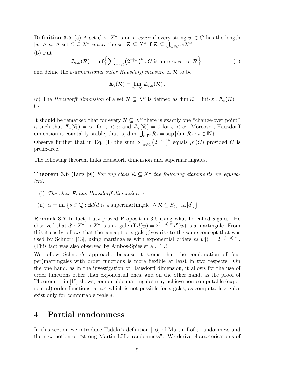**Definition 3.5** (a) A set  $C \subseteq X^*$  is an *n*-cover if every string  $w \in C$  has the length  $|w| \ge n$ . A set  $C \subseteq X^*$  covers the set  $\mathcal{R} \subseteq X^{\omega}$  if  $\mathcal{R} \subseteq \bigcup_{w \in C} wX^{\omega}$ . (b) Put

$$
\mathcal{I}_{\varepsilon,n}(\mathcal{R}) = \inf \left\{ \sum\nolimits_{w \in C} \left( 2^{-|w|} \right)^{\varepsilon} : C \text{ is an } n\text{-cover of } \mathcal{R} \right\},\tag{1}
$$

and define the  $\varepsilon$ -dimensional outer Hausdorff measure of  $\mathcal R$  to be

$$
I\!\!L_{\varepsilon}(\mathcal{R}) = \lim_{n \to \infty} I\!\!L_{\varepsilon,n}(\mathcal{R}) .
$$

(c) The Hausdorff dimension of a set  $\mathcal{R} \subseteq X^{\omega}$  is defined as dim  $\mathcal{R} = \inf \{ \varepsilon : L_{\varepsilon}(\mathcal{R}) =$ 0}.

It should be remarked that for every  $\mathcal{R} \subseteq X^{\omega}$  there is exactly one "change-over point"  $\alpha$  such that  $\mathbb{L}_{\varepsilon}(\mathcal{R}) = \infty$  for  $\varepsilon < \alpha$  and  $\mathbb{L}_{\varepsilon}(\mathcal{R}) = 0$  for  $\varepsilon < \alpha$ . Moreover, Hausdorff dimension is countably stable, that is, dim  $\bigcup_{i\in\mathbb{N}}\mathcal{R}_i=\sup\{\dim\mathcal{R}_i:i\in\mathbb{N}\}.$ 

Observe further that in Eq. (1) the sum  $\sum_{w \in C} (2^{-|w|})^{\varepsilon}$  equals  $\mu^{\varepsilon}(C)$  provided C is prefix-free.

The following theorem links Hausdorff dimension and supermartingales.

**Theorem 3.6** (Lutz [9]) For any class  $\mathcal{R} \subseteq X^{\omega}$  the following statements are equivalent:

- (i) The class  $\mathcal R$  has Hausdorff dimension  $\alpha$ ,
- (ii)  $\alpha = \inf \{ s \in \mathbb{Q} : \exists d(d \text{ is a supermartingale } \wedge \mathcal{R} \subseteq S_{2^{(1-s)n}}[d]) \}.$

Remark 3.7 In fact, Lutz proved Proposition 3.6 using what he called s-gales. He observed that  $d' : X^* \to X^*$  is an s-gale iff  $d(w) = 2^{(1-s)|w|} d'(w)$  is a martingale. From this it easily follows that the concept of s-gale gives rise to the same concept that was used by Schnorr [13], using martingales with exponential orders  $h(|w|) = 2^{-(1-s)|w|}$ . (This fact was also observed by Ambos-Spies et al. [1].)

We follow Schnorr's approach, because it seems that the combination of (super)martingales with order functions is more flexible at least in two respects: On the one hand, as in the investigation of Hausdorff dimension, it allows for the use of order functions other than exponential ones, and on the other hand, as the proof of Theorem 11 in [15] shows, computable martingales may achieve non-computable (exponential) order functions, a fact which is not possible for s-gales, as computable s-gales exist only for computable reals s.

#### 4 Partial randomness

In this section we introduce Tadaki's definition [16] of Martin-Löf  $\varepsilon$ -randomness and the new notion of "strong Martin-Löf  $\varepsilon$ -randomness". We derive characterisations of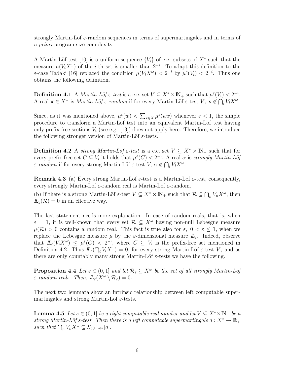strongly Martin-Löf  $\varepsilon$ -random sequences in terms of supermartingales and in terms of a priori program-size complexity.

A Martin-Löf test [10] is a uniform sequence  $\{V_i\}$  of c.e. subsets of  $X^*$  such that the measure  $\mu(V_i X^{\omega})$  of the *i*-th set is smaller than  $2^{-i}$ . To adapt this definition to the ε-case Tadaki [16] replaced the condition  $\mu(V_i X^{\omega}) < 2^{-i}$  by  $\mu^{\varepsilon}(V_i) < 2^{-i}$ . Thus one obtains the following definition.

**Definition 4.1** A *Martin-Löf*  $\varepsilon$ -test is a c.e. set  $V \subseteq X^* \times \mathbb{N}_+$  such that  $\mu^{\varepsilon}(V_i) < 2^{-i}$ . A real  $\mathbf{x} \in X^{\omega}$  is *Martin-Löf*  $\varepsilon$ *-random* if for every Martin-Löf  $\varepsilon$ -test  $V, \mathbf{x} \notin \bigcap_i V_i X^{\omega}$ .

Since, as it was mentioned above,  $\mu^{\varepsilon}(w) < \sum_{x \in X} \mu^{\varepsilon}(wx)$  whenever  $\varepsilon < 1$ , the simple procedure to transform a Martin-Löf test into an equivalent Martin-Löf test having only prefix-free sections  $V_i$  (see e.g. [13]) does not apply here. Therefore, we introduce the following stronger version of Martin-Löf  $\varepsilon$ -tests.

Definition 4.2 A strong Martin-Löf  $\varepsilon$ -test is a c.e. set  $V \subseteq X^* \times \mathbb{N}_+$  such that for every prefix-free set  $C \subseteq V_i$  it holds that  $\mu^{\varepsilon}(C) < 2^{-i}$ . A real  $\alpha$  is *strongly Martin-Löf ε*-random if for every strong Martin-Löf *ε*-test  $V, \alpha \notin \bigcap_i V_i X^\omega$ .

**Remark 4.3** (a) Every strong Martin-Löf  $\varepsilon$ -test is a Martin-Löf  $\varepsilon$ -test, consequently, every strongly Martin-Löf  $\varepsilon$ -random real is Martin-Löf  $\varepsilon$ -random.

(b) If there is a strong Martin-Löf  $\varepsilon$ -test  $V \subseteq X^* \times \mathbb{N}_+$  such that  $\mathcal{R} \subseteq \bigcap_n V_n X^\omega$ , then  $\mathbb{L}_{\varepsilon}(\mathcal{R})=0$  in an effective way.

The last statement needs more explanation. In case of random reals, that is, when  $\varepsilon = 1$ , it is well-known that every set  $\mathcal{R} \subseteq X^{\omega}$  having non-null Lebesgue measure  $\mu(\mathcal{R}) > 0$  contains a random real. This fact is true also for  $\varepsilon, 0 < \varepsilon \leq 1$ , when we replace the Lebesgue measure  $\mu$  by the *ε*-dimensional measure  $I\!L_{\varepsilon}$ . Indeed, observe that  $\mathbb{L}_{\varepsilon}(V_i X^{\omega}) \leq \mu^{\varepsilon}(C) < 2^{-i}$ , where  $C \subseteq V_i$  is the prefix-free set mentioned in Definition 4.2. Thus  $\mathbb{L}_{\varepsilon}(\bigcap_i V_i X^{\omega}) = 0$ , for every strong Martin-Löf  $\varepsilon$ -test V, and as there are only countably many strong Martin-Löf  $\varepsilon$ -tests we have the following.

**Proposition 4.4** Let  $\varepsilon \in (0,1]$  and let  $\mathcal{R}_{\varepsilon} \subseteq X^{\omega}$  be the set of all strongly Martin-Löft  $\varepsilon$ -random reals. Then,  $\mathbb{L}_{\varepsilon}(X^{\omega}\setminus \mathcal{R}_{\varepsilon})=0.$ 

The next two lemmata show an intrinsic relationship between left computable supermartingales and strong Martin-Löf  $\varepsilon$ -tests.

**Lemma 4.5** Let  $s \in (0,1]$  be a right computable real number and let  $V \subseteq X^* \times \mathbb{N}_+$  be a strong Martin-Löf s-test. Then there is a left computable supermartingale  $d: X^* \to \mathbb{R}_+$ such that  $\bigcap_n V_n X^\omega \subseteq S_{2^{(1-s)n}}[d]$ .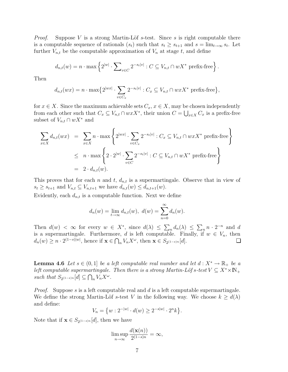*Proof.* Suppose V is a strong Martin-Löf s-test. Since s is right computable there is a computable sequence of rationals  $(s_t)$  such that  $s_t \geq s_{t+1}$  and  $s = \lim_{t \to \infty} s_t$ . Let further  $V_{n,t}$  be the computable approximation of  $V_n$  at stage t, and define

$$
d_{n,t}(w) = n \cdot \max \left\{ 2^{|w|} \cdot \sum_{v \in C} 2^{-s_t|v|} : C \subseteq V_{n,t} \cap wX^* \text{ prefix-free} \right\}.
$$

Then

$$
d_{n,t}(wx) = n \cdot \max\{2^{|wx|} \cdot \sum_{v \in C_x} 2^{-s_t|v|} : C_x \subseteq V_{n,t} \cap wxX^* \text{ prefix-free}\},
$$

for  $x \in X$ . Since the maximum achievable sets  $C_x, x \in X$ , may be chosen independently from each other such that  $C_x \subseteq V_{n,t} \cap wxX^*$ , their union  $C = \bigcup_{x \in X} C_x$  is a prefix-free subset of  $V_{n,t} \cap wX^*$  and

$$
\sum_{x \in X} d_{n,t}(wx) = \sum_{x \in X} n \cdot \max \left\{ 2^{|wx|} \cdot \sum_{v \in C_x} 2^{-s_t|v|} : C_x \subseteq V_{n,t} \cap wxX^* \text{ prefix-free} \right\}
$$
  

$$
\leq n \cdot \max \left\{ 2 \cdot 2^{|w|} \cdot \sum_{v \in C} 2^{-s_t|v|} : C \subseteq V_{n,t} \cap wX^* \text{ prefix-free} \right\}
$$
  

$$
= 2 \cdot d_{n,t}(w).
$$

This proves that for each n and t,  $d_{n,t}$  is a supermartingale. Observe that in view of  $s_t \geq s_{t+1}$  and  $V_{n,t} \subseteq V_{n,t+1}$  we have  $d_{n,t}(w) \leq d_{n,t+1}(w)$ .

Evidently, each  $d_{n,t}$  is a computable function. Next we define

$$
d_n(w) = \lim_{t \to \infty} d_{n,t}(w), \ d(w) = \sum_{n=0}^{\infty} d_n(w).
$$

Then  $d(w) < \infty$  for every  $w \in X^*$ , since  $d(\lambda) \leq \sum_n d_n(\lambda) \leq \sum_n n \cdot 2^{-n}$  and d is a supermartingale. Furthermore, d is left computable. Finally, if  $w \in V_n$ , then  $d_n(w) \geq n \cdot 2^{(1-s)|w|}$ , hence if  $\mathbf{x} \in \bigcap_n V_n X^\omega$ , then  $\mathbf{x} \in S_{2^{(1-s)n}}[d]$ .

**Lemma 4.6** Let  $s \in (0,1]$  be a left computable real number and let  $d: X^* \to \mathbb{R}_+$  be a left computable supermartingale. Then there is a strong Martin-Löf s-test  $V \subseteq X^* \times \mathbb{N}_+$ such that  $S_{2^{(1-s)n}}[d] \subseteq \bigcap_n V_n X^\omega$ .

*Proof.* Suppose s is a left computable real and  $d$  is a left computable supermartingale. We define the strong Martin-Löf s-test V in the following way. We choose  $k \geq d(\lambda)$ and define:

$$
V_n = \{ w : 2^{-|w|} \cdot d(w) \ge 2^{-s|w|} \cdot 2^n k \}.
$$

Note that if  $\mathbf{x} \in S_{2(1-s)n}[d]$ , then we have

$$
\limsup_{n \to \infty} \frac{d(\mathbf{x}(n))}{2^{(1-s)n}} = \infty,
$$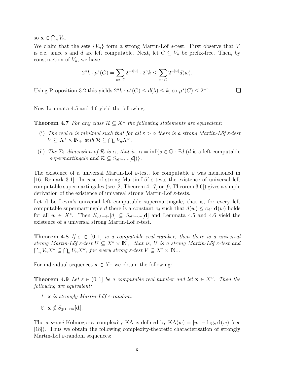so  $\mathbf{x} \in \bigcap_n V_n$ .

We claim that the sets  ${V_n}$  form a strong Martin-Löf s-test. First observe that V is c.e. since s and d are left computable. Next, let  $C \subseteq V_n$  be prefix-free. Then, by construction of  $V_n$ , we have

$$
2^{n}k \cdot \mu^{s}(C) = \sum_{w \in C} 2^{-s|w|} \cdot 2^{n}k \le \sum_{w \in C} 2^{-|w|} d(w).
$$

. ❏

Using Proposition 3.2 this yields  $2^n k \cdot \mu^s(C) \leq d(\lambda) \leq k$ , so  $\mu^s(C) \leq 2^{-n}$ 

Now Lemmata 4.5 and 4.6 yield the following.

**Theorem 4.7** For any class  $\mathcal{R} \subseteq X^{\omega}$  the following statements are equivalent:

- (i) The real  $\alpha$  is minimal such that for all  $\varepsilon > \alpha$  there is a strong Martin-Löf  $\varepsilon$ -test  $V \subseteq X^* \times \mathbb{N}_+$  with  $\mathcal{R} \subseteq \bigcap_n V_n X^\omega$ .
- (ii) The  $\Sigma_1$ -dimension of  $\mathcal R$  is  $\alpha$ , that is,  $\alpha = \inf\{s \in \mathbb Q : \exists d \ (d \text{ is a left computable})\}$ supermartingale and  $\mathcal{R} \subseteq S_{2^{(1-s)n}}[d])\}.$

The existence of a universal Martin-Löf  $\varepsilon$ -test, for computable  $\varepsilon$  was mentioned in [16, Remark 3.1]. In case of strong Martin-Löf  $\varepsilon$ -tests the existence of universal left computable supermartingales (see  $[2,$  Theorem 4.17] or  $[9,$  Theorem 3.6]) gives a simple derivation of the existence of universal strong Martin-Löf  $\varepsilon$ -tests.

Let **d** be Levin's universal left computable supermartingale, that is, for every left computable supermartingale d there is a constant  $c_d$  such that  $d(w) \leq c_d \cdot d(w)$  holds for all  $w \in X^*$ . Then  $S_{2^{(1-s)n}}[d] \subseteq S_{2^{(1-s)n}}[d]$  and Lemmata 4.5 and 4.6 yield the existence of a universal strong Martin-Löf  $\varepsilon$ -test.

**Theorem 4.8** If  $\varepsilon \in (0,1]$  is a computable real number, then there is a universal strong Martin-Löf  $\varepsilon$ -test  $U \subseteq X^* \times \mathbb{N}_+$ , that is, U is a strong Martin-Löf  $\varepsilon$ -test and  $\bigcap_n V_n X^\omega \subseteq \bigcap_n U_n X^\omega$ , for every strong  $\varepsilon$ -test  $V \subseteq X^* \times \mathbb{N}_+$ .

For individual sequences  $\mathbf{x} \in X^{\omega}$  we obtain the following:

**Theorem 4.9** Let  $\varepsilon \in (0,1]$  be a computable real number and let  $\mathbf{x} \in X^{\omega}$ . Then the following are equivalent:

- 1. x is strongly Martin-Löf  $\varepsilon$ -random.
- 2.  $\mathbf{x} \notin S_{2(1-\varepsilon)n}[\mathbf{d}].$

The a priori Kolmogorov complexity KA is defined by  $KA(w) = |w| - log_2 d(w)$  (see [18]). Thus we obtain the following complexity-theoretic characterisation of strongly Martin-Löf  $\varepsilon$ -random sequences: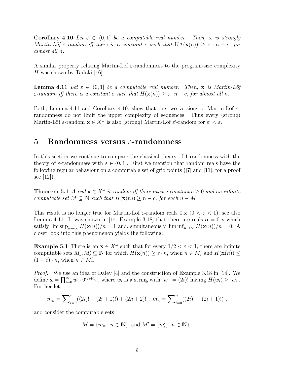Corollary 4.10 Let  $\varepsilon \in (0,1]$  be a computable real number. Then, x is strongly Martin-Löf  $\varepsilon$ -random iff there is a constant c such that  $KA(\mathbf{x}(n)) \geq \varepsilon \cdot n - c$ , for almost all n.

A similar property relating Martin-Löf  $\varepsilon$ -randomness to the program-size complexity H was shown by Tadaki [16].

**Lemma 4.11** Let  $\varepsilon \in (0,1]$  be a computable real number. Then, x is Martin-Löf  $\varepsilon$ -random iff there is a constant c such that  $H(\mathbf{x}(n)) \geq \varepsilon \cdot n - c$ , for almost all n.

Both, Lemma 4.11 and Corollary 4.10, show that the two versions of Martin-Löf  $\varepsilon$ randomness do not limit the upper complexity of sequences. Thus every (strong) Martin-Löf  $\varepsilon$ -random  $\mathbf{x} \in X^{\omega}$  is also (strong) Martin-Löf  $\varepsilon'$ -random for  $\varepsilon' < \varepsilon$ .

#### 5 Randomness versus  $\varepsilon$ -randomness

In this section we continue to compare the classical theory of 1-randomness with the theory of  $\varepsilon$ -randomness with  $\varepsilon \in (0,1]$ . First we mention that random reals have the following regular behaviour on a computable set of grid points ([7] and [11]; for a proof see  $|12|$ ).

**Theorem 5.1** A real  $\mathbf{x} \in X^{\omega}$  is random iff there exist a constant  $c \geq 0$  and an infinite computable set  $M \subseteq \mathbb{N}$  such that  $H(\mathbf{x}(n)) \geq n - c$ , for each  $n \in M$ .

This result is no longer true for Martin-Löf  $\varepsilon$ -random reals  $0 \times (0 \lt \varepsilon \lt 1)$ ; see also Lemma 4.11. It was shown in [14, Example 3.18] that there are reals  $\alpha = 0$ . x which satisfy  $\limsup_{n\to\infty} H(\mathbf{x}(n))/n = 1$  and, simultaneously,  $\liminf_{n\to\infty} H(\mathbf{x}(n))/n = 0$ . A closer look into this phenomenon yields the following:

**Example 5.1** There is an  $x \in X^{\omega}$  such that for every  $1/2 < \varepsilon < 1$ , there are infinite computable sets  $M_{\varepsilon}$ ,  $M'_{\varepsilon} \subseteq \mathbb{N}$  for which  $H(\mathbf{x}(n)) \geq \varepsilon \cdot n$ , when  $n \in M_{\varepsilon}$  and  $H(\mathbf{x}(n)) \leq$  $(1 - \varepsilon) \cdot n$ , when  $n \in M'_{\varepsilon}$ .

Proof. We use an idea of Daley [4] and the construction of Example 3.18 in [14]. We define  $\mathbf{x} = \prod_{i=0}^{\infty} w_i \cdot 0^{(2i+1)!}$ , where  $w_i$  is a string with  $|w_i| = (2i)!$  having  $H(w_i) \geq |w_i|$ . Further let

$$
m_n = \sum_{i=0}^n ((2i)! + (2i+1)!) + (2n+2)! , \ m'_n = \sum_{i=0}^n ((2i)! + (2i+1)! ) ,
$$

and consider the computable sets

$$
M = \{m_n : n \in \mathbb{N}\} \text{ and } M' = \{m'_n : n \in \mathbb{N}\}.
$$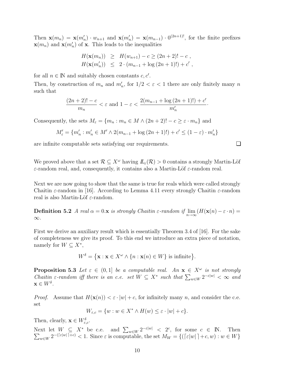Then  $\mathbf{x}(m_n) = \mathbf{x}(m'_n) \cdot w_{n+1}$  and  $\mathbf{x}(m'_n) = \mathbf{x}(m_{n-1}) \cdot 0^{(2n+1)!}$ , for the finite prefixes  $\mathbf{x}(m_n)$  and  $\mathbf{x}(m'_n)$  of **x**. This leads to the inequalities

$$
H(\mathbf{x}(m_n)) \geq H(w_{n+1}) - c \geq (2n+2)! - c ,
$$
  

$$
H(\mathbf{x}(m'_n)) \leq 2 \cdot (m_{n-1} + \log (2n+1)!) + c' ,
$$

for all  $n \in \mathbb{N}$  and suitably chosen constants  $c, c'$ .

Then, by construction of  $m_n$  and  $m'_n$ , for  $1/2 < \varepsilon < 1$  there are only finitely many n such that

$$
\frac{(2n+2)!-c}{m_n} < \varepsilon \text{ and } 1 - \varepsilon < \frac{2(m_{n-1} + \log(2n+1)!) + c'}{m'_n}.
$$

Consequently, the sets  $M_{\varepsilon} = \{m_n : m_n \in M \wedge (2n + 2)! - c \geq \varepsilon \cdot m_n\}$  and

$$
M'_{\varepsilon} = \{ m'_n : m'_n \in M' \land 2(m_{n-1} + \log (2n + 1)!) + c' \le (1 - \varepsilon) \cdot m'_n \}
$$

are infinite computable sets satisfying our requirements.

We proved above that a set  $\mathcal{R} \subseteq X^\omega$  having  $\mathcal{L}_{\varepsilon}(\mathcal{R}) > 0$  contains a strongly Martin-Löf  $\varepsilon$ -random real, and, consequently, it contains also a Martin-Löf  $\varepsilon$ -random real.

Next we are now going to show that the same is true for reals which were called strongly Chaitin  $\varepsilon$ -random in [16]. According to Lemma 4.11 every strongly Chaitin  $\varepsilon$ -random real is also Martin-Löf  $\varepsilon$ -random.

**Definition 5.2** A real  $\alpha = 0$ .**x** is strongly Chaitin  $\varepsilon$ -random if  $\lim_{n \to \infty} (H(\mathbf{x}(n) - \varepsilon \cdot n)) =$ ∞.

First we derive an auxiliary result which is essentially Theorem 3.4 of [16]. For the sake of completeness we give its proof. To this end we introduce an extra piece of notation, namely for  $W \subseteq X^*$ ,

$$
W^{\delta} = \{ \mathbf{x} : \mathbf{x} \in X^{\omega} \wedge \{ n : \mathbf{x}(n) \in W \} \text{ is infinite} \}.
$$

**Proposition 5.3** Let  $\varepsilon \in (0,1]$  be a computable real. An  $\mathbf{x} \in X^{\omega}$  is not strongly Chaitin  $\varepsilon$ -random iff there is an c.e. set  $W \subseteq X^*$  such that  $\sum_{w \in W} 2^{-\varepsilon |w|} < \infty$  and  $\mathbf{x} \in W^{\delta}$ .

*Proof.* Assume that  $H(\mathbf{x}(n)) < \varepsilon \cdot |w| + c$ , for infinitely many n, and consider the c.e. set

$$
W_{\varepsilon,c} = \{ w : w \in X^* \wedge H(w) \le \varepsilon \cdot |w| + c \}.
$$

Then, clearly,  $\mathbf{x} \in W_{\varepsilon,c}^{\delta}$ .

Next let  $W \subseteq X^*$  be c.e. and  $\sum_{w \in W} 2^{-\varepsilon |w|} < 2^c$  $\sum$ , for some  $c \in \mathbb{N}$ . Then  $w \in W^{2-(\lceil \varepsilon |w| \rceil + c)} < 1.$  Since  $\varepsilon$  is computable, the set  $M_W = \{ (\lceil \varepsilon |w| \rceil + c, w) : w \in W \}$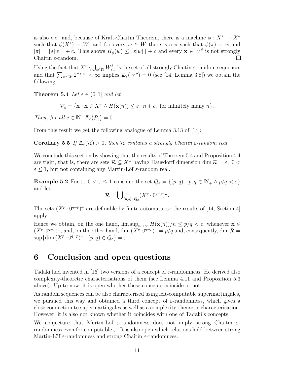is also c.e. and, because of Kraft-Chaitin Theorem, there is a machine  $\phi: X^* \to X^*$ such that  $\phi(X^*) = W$ , and for every  $w \in W$  there is a  $\pi$  such that  $\phi(\pi) = w$  and  $|\pi| = \lceil \varepsilon |w| \rceil + c$ . This shows  $H_{\phi}(w) \leq \lceil \varepsilon |w| \rceil + c$  and every  $\mathbf{x} \in W^{\delta}$  is not strongly Chaitin ε-random. ❏

Using the fact that  $X^{\omega}\setminus\bigcup_{c\in\mathbb{N}}W_{\varepsilon,c}^{\delta}$  is the set of all strongly Chaitin  $\varepsilon$ -random sequences and that  $\sum_{w \in W} 2^{-\varepsilon |w|} < \infty$  implies  $\mathit{I\!I}_{\varepsilon}(W^{\delta}) = 0$  (see [14, Lemma 3.8]) we obtain the following:

**Theorem 5.4** Let  $\varepsilon \in (0,1]$  and let

 $\mathcal{P}_c = {\mathbf{x} : \mathbf{x} \in X^{\omega} \wedge H(\mathbf{x}(n)) \le \varepsilon \cdot n + c, \text{ for infinitely many } n}.$ 

Then, for all  $c \in \mathbb{N}$ ,  $\mathbb{L}_{\varepsilon}(\mathcal{P}_c) = 0$ .

From this result we get the following analogue of Lemma 3.13 of [14]:

**Corollary 5.5** If  $\mathbb{L}_{\varepsilon}(\mathcal{R}) > 0$ , then R contains a strongly Chaitin  $\varepsilon$ -random real.

We conclude this section by showing that the results of Theorem 5.4 and Proposition 4.4 are tight, that is, there are sets  $\mathcal{R} \subseteq X^\omega$  having Hausdorff dimension dim  $\mathcal{R} = \varepsilon$ ,  $0 <$  $\varepsilon \leq 1$ , but not containing any Martin-Löf  $\varepsilon$ -random real.

Example 5.2 For  $\varepsilon$ ,  $0 < \varepsilon \leq 1$  consider the set  $Q_{\varepsilon} = \{(p, q) : p, q \in \mathbb{N}_+ \wedge p/q < \varepsilon\}$ and let

$$
\mathcal{R} = \bigcup_{(p,q)\in Q_{\varepsilon}} (X^p \cdot 0^{q-p})^{\omega}.
$$

The sets  $(X^p \cdot 0^{q-p})^{\omega}$  are definable by finite automata, so the results of [14, Section 4] apply.

Hence we obtain, on the one hand,  $\limsup_{n\to\infty} H(\mathbf{x}(n))/n \leq p/q < \varepsilon$ , whenever  $\mathbf{x} \in$  $(X^p \cdot 0^{q-p})^{\omega}$ , and, on the other hand, dim  $(X^p \cdot 0^{q-p})^{\omega} = p/q$  and, consequently, dim  $\mathcal{R} =$  $\sup\{\dim (X^p\cdot 0^{q-p})^\omega : (p,q)\in Q_\varepsilon\} = \varepsilon.$ 

#### 6 Conclusion and open questions

Tadaki had invented in [16] two versions of a concept of  $\varepsilon$ -randomness. He derived also complexity-theoretic characterisations of them (see Lemma 4.11 and Proposition 5.3 above). Up to now, it is open whether these concepts coincide or not.

As random sequences can be also characterised using left-computable supermartingales, we pursued this way and obtained a third concept of  $\varepsilon$ -randomness, which gives a close connection to supermartingales as well as a complexity-theoretic characterisation. However, it is also not known whether it coincides with one of Tadaki's concepts.

We conjecture that Martin-Löf  $\varepsilon$ -randomness does not imply strong Chaitin  $\varepsilon$ randomness even for computable  $\varepsilon$ . It is also open which relations hold between strong Martin-Löf  $\varepsilon$ -randomness and strong Chaitin  $\varepsilon$ -randomness.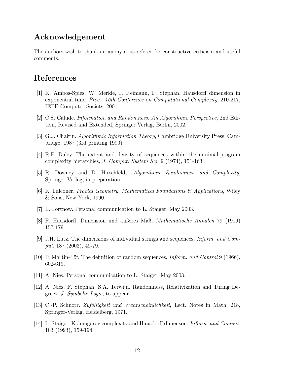#### Acknowledgement

The authors wish to thank an anonymous referee for constructive criticism and useful comments.

#### References

- [1] K. Ambos-Spies, W. Merkle, J. Reimann, F. Stephan. Hausdorff dimension in exponential time, Proc. 16th Conference on Computational Complexity, 210-217, IEEE Computer Society, 2001.
- [2] C.S. Calude. Information and Randomness. An Algorithmic Perspective, 2nd Edition, Revised and Extended, Springer Verlag, Berlin, 2002.
- [3] G.J. Chaitin. Algorithmic Information Theory, Cambridge University Press, Cambridge, 1987 (3rd printing 1990).
- [4] R.P. Daley. The extent and density of sequences within the minimal-program complexity hierarchies, J. Comput. System Sci. 9 (1974), 151-163.
- [5] R. Downey and D. Hirschfeldt. Algorithmic Randomness and Complexity, Springer-Verlag, in preparation.
- [6] K. Falconer. Fractal Geometry. Mathematical Foundations & Applications, Wiley & Sons, New York, 1990.
- [7] L. Fortnow. Personal communication to L. Staiger, May 2003.
- [8] F. Hausdorff. Dimension und äußeres Maß, Mathematische Annalen 79 (1919) 157-179.
- [9] J.H. Lutz. The dimensions of individual strings and sequences, Inform. and Comput. 187 (2003), 49-79.
- [10] P. Martin-Löf. The definition of random sequences,  $Inform.$  and  $Control9(1966)$ , 602-619.
- [11] A. Nies. Personal communication to L. Staiger, May 2003.
- [12] A. Nies, F. Stephan, S.A. Terwijn. Randomness, Relativization and Turing Degrees, J. Symbolic Logic, to appear.
- [13] C.-P. Schnorr. Zufälligkeit und Wahrscheinlichkeit, Lect. Notes in Math. 218, Springer-Verlag, Heidelberg, 1971.
- [14] L. Staiger. Kolmogorov complexity and Hausdorff dimenson, Inform. and Comput. 103 (1993), 159-194.